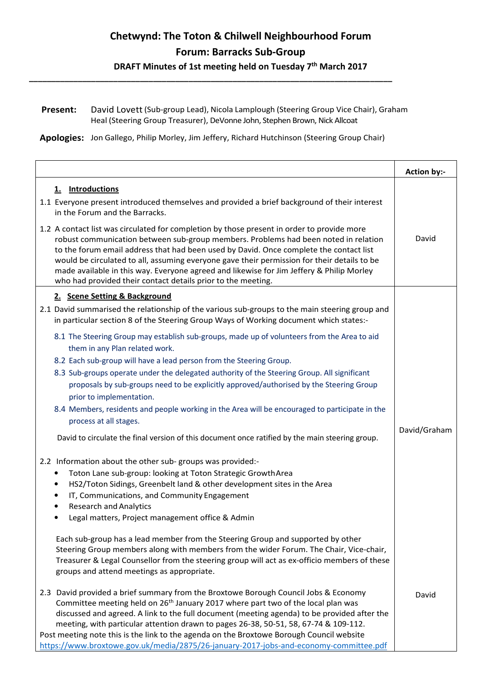## Chetwynd: The Toton & Chilwell Neighbourhood Forum Forum: Barracks Sub-Group

DRAFT Minutes of 1st meeting held on Tuesday 7<sup>th</sup> March 2017

Present: David Lovett (Sub-group Lead), Nicola Lamplough (Steering Group Vice Chair), Graham Heal (Steering Group Treasurer), DeVonne John, Stephen Brown, Nick Allcoat

Apologies: Jon Gallego, Philip Morley, Jim Jeffery, Richard Hutchinson (Steering Group Chair)

\_\_\_\_\_\_\_\_\_\_\_\_\_\_\_\_\_\_\_\_\_\_\_\_\_\_\_\_\_\_\_\_\_\_\_\_\_\_\_\_\_\_\_\_\_\_\_\_\_\_\_\_\_\_\_\_\_\_\_\_\_\_\_\_\_\_\_\_\_\_\_\_\_\_\_\_\_\_\_\_\_\_

|                                                                                                                                                                                                                                                                                                                                                                                                                                                                                                                                                                 | <b>Action by:-</b> |
|-----------------------------------------------------------------------------------------------------------------------------------------------------------------------------------------------------------------------------------------------------------------------------------------------------------------------------------------------------------------------------------------------------------------------------------------------------------------------------------------------------------------------------------------------------------------|--------------------|
| 1. Introductions<br>1.1 Everyone present introduced themselves and provided a brief background of their interest<br>in the Forum and the Barracks.                                                                                                                                                                                                                                                                                                                                                                                                              |                    |
| 1.2 A contact list was circulated for completion by those present in order to provide more<br>robust communication between sub-group members. Problems had been noted in relation<br>to the forum email address that had been used by David. Once complete the contact list<br>would be circulated to all, assuming everyone gave their permission for their details to be<br>made available in this way. Everyone agreed and likewise for Jim Jeffery & Philip Morley<br>who had provided their contact details prior to the meeting.                          | David              |
| 2. Scene Setting & Background                                                                                                                                                                                                                                                                                                                                                                                                                                                                                                                                   |                    |
| 2.1 David summarised the relationship of the various sub-groups to the main steering group and<br>in particular section 8 of the Steering Group Ways of Working document which states:-                                                                                                                                                                                                                                                                                                                                                                         |                    |
| 8.1 The Steering Group may establish sub-groups, made up of volunteers from the Area to aid<br>them in any Plan related work.                                                                                                                                                                                                                                                                                                                                                                                                                                   |                    |
| 8.2 Each sub-group will have a lead person from the Steering Group.                                                                                                                                                                                                                                                                                                                                                                                                                                                                                             |                    |
| 8.3 Sub-groups operate under the delegated authority of the Steering Group. All significant                                                                                                                                                                                                                                                                                                                                                                                                                                                                     |                    |
| proposals by sub-groups need to be explicitly approved/authorised by the Steering Group<br>prior to implementation.                                                                                                                                                                                                                                                                                                                                                                                                                                             |                    |
| 8.4 Members, residents and people working in the Area will be encouraged to participate in the<br>process at all stages.                                                                                                                                                                                                                                                                                                                                                                                                                                        |                    |
| David to circulate the final version of this document once ratified by the main steering group.                                                                                                                                                                                                                                                                                                                                                                                                                                                                 | David/Graham       |
| 2.2 Information about the other sub-groups was provided:-                                                                                                                                                                                                                                                                                                                                                                                                                                                                                                       |                    |
| Toton Lane sub-group: looking at Toton Strategic Growth Area                                                                                                                                                                                                                                                                                                                                                                                                                                                                                                    |                    |
| HS2/Toton Sidings, Greenbelt land & other development sites in the Area<br>IT, Communications, and Community Engagement                                                                                                                                                                                                                                                                                                                                                                                                                                         |                    |
| <b>Research and Analytics</b>                                                                                                                                                                                                                                                                                                                                                                                                                                                                                                                                   |                    |
| Legal matters, Project management office & Admin                                                                                                                                                                                                                                                                                                                                                                                                                                                                                                                |                    |
| Each sub-group has a lead member from the Steering Group and supported by other<br>Steering Group members along with members from the wider Forum. The Chair, Vice-chair,<br>Treasurer & Legal Counsellor from the steering group will act as ex-officio members of these<br>groups and attend meetings as appropriate.                                                                                                                                                                                                                                         |                    |
| 2.3 David provided a brief summary from the Broxtowe Borough Council Jobs & Economy<br>Committee meeting held on 26 <sup>th</sup> January 2017 where part two of the local plan was<br>discussed and agreed. A link to the full document (meeting agenda) to be provided after the<br>meeting, with particular attention drawn to pages 26-38, 50-51, 58, 67-74 & 109-112.<br>Post meeting note this is the link to the agenda on the Broxtowe Borough Council website<br>https://www.broxtowe.gov.uk/media/2875/26-january-2017-jobs-and-economy-committee.pdf | David              |